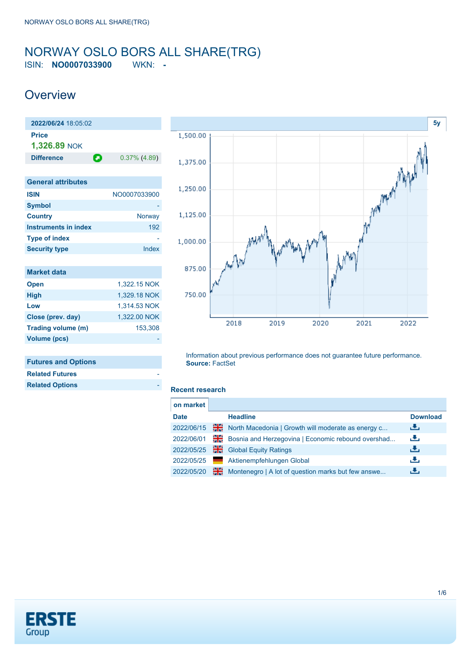### <span id="page-0-0"></span>NORWAY OSLO BORS ALL SHARE(TRG) ISIN: **NO0007033900** WKN: **-**

**Overview** 

| 2022/06/24 18:05:02         |                 |
|-----------------------------|-----------------|
| <b>Price</b>                |                 |
| 1,326.89 NOK                |                 |
| Θ<br><b>Difference</b>      | $0.37\%$ (4.89) |
|                             |                 |
| <b>General attributes</b>   |                 |
| <b>ISIN</b>                 | NO0007033900    |
| <b>Symbol</b>               |                 |
| <b>Country</b>              | Norway          |
| <b>Instruments in index</b> | 192             |
| <b>Type of index</b>        |                 |
| <b>Security type</b>        | Index           |
|                             |                 |
| <b>Market data</b>          |                 |
| <b>Open</b>                 | 1,322.15 NOK    |
| <b>High</b>                 | 1,329.18 NOK    |
| Low                         | 1,314.53 NOK    |
| Close (prev. day)           | 1,322.00 NOK    |
| Trading volume (m)          | 153,308         |

### **Futures and Options**

**Volume (pcs)** 

| <b>Related Futures</b> |  |
|------------------------|--|
| <b>Related Options</b> |  |
|                        |  |



Information about previous performance does not guarantee future performance. **Source:** FactSet

#### **Recent research**

| on market   |    |                                                    |                 |
|-------------|----|----------------------------------------------------|-----------------|
| <b>Date</b> |    | <b>Headline</b>                                    | <b>Download</b> |
| 2022/06/15  | ж  | North Macedonia   Growth will moderate as energy c | رنان            |
| 2022/06/01  | 꾊똟 | Bosnia and Herzegovina   Economic rebound overshad | رنان            |
| 2022/05/25  | 을  | <b>Global Equity Ratings</b>                       | رنان            |
| 2022/05/25  |    | Aktienempfehlungen Global                          | æ,              |
| 2022/05/20  | 噐  | Montenegro   A lot of question marks but few answe | æ,              |
|             |    |                                                    |                 |

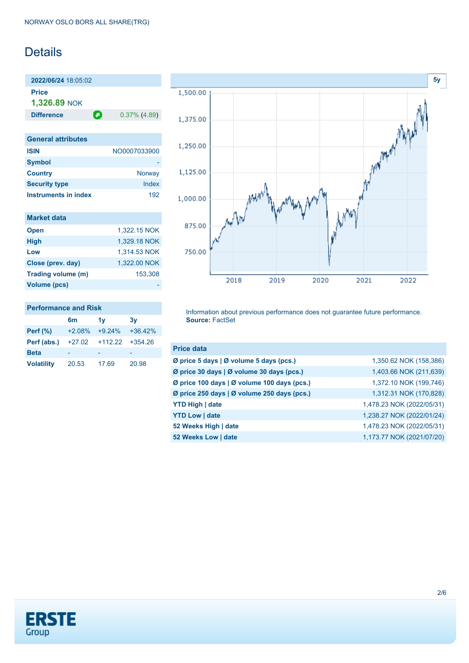## Details

**2022/06/24** 18:05:02 **Price 1,326.89** NOK

**Difference 0.37% (4.89)** 

| <b>General attributes</b> |              |
|---------------------------|--------------|
| <b>ISIN</b>               | NO0007033900 |
| <b>Symbol</b>             |              |
| <b>Country</b>            | Norway       |
| <b>Security type</b>      | Index        |
| Instruments in index      | 192          |

| <b>Market data</b> |              |
|--------------------|--------------|
| <b>Open</b>        | 1.322.15 NOK |
| <b>High</b>        | 1,329.18 NOK |
| Low                | 1,314.53 NOK |
| Close (prev. day)  | 1.322.00 NOK |
| Trading volume (m) | 153,308      |
| Volume (pcs)       |              |



| Perf $(\%)$       |       | $+2.08\% +9.24\% +36.42\%$ |       |
|-------------------|-------|----------------------------|-------|
| Perf (abs.)       |       | +27.02 +112.22 +354.26     |       |
| <b>Beta</b>       |       |                            |       |
| <b>Volatility</b> | 20.53 | 17.69                      | 20.98 |



Information about previous performance does not guarantee future performance. **Source:** FactSet

| <b>Price data</b>                           |                           |
|---------------------------------------------|---------------------------|
| Ø price 5 days   Ø volume 5 days (pcs.)     | 1,350.62 NOK (158,386)    |
| Ø price 30 days   Ø volume 30 days (pcs.)   | 1,403.66 NOK (211,639)    |
| Ø price 100 days   Ø volume 100 days (pcs.) | 1,372.10 NOK (199,746)    |
| Ø price 250 days   Ø volume 250 days (pcs.) | 1,312.31 NOK (170,828)    |
| <b>YTD High   date</b>                      | 1,478.23 NOK (2022/05/31) |
| <b>YTD Low   date</b>                       | 1,238.27 NOK (2022/01/24) |
| 52 Weeks High   date                        | 1,478.23 NOK (2022/05/31) |
| 52 Weeks Low   date                         | 1,173.77 NOK (2021/07/20) |

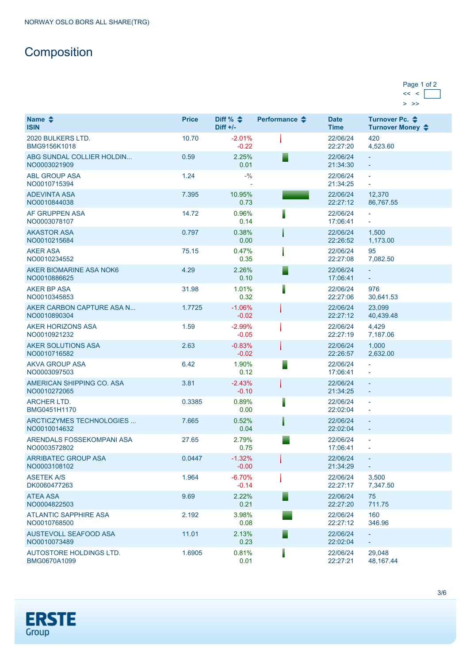# **Composition**

| Page 1 of 2 |  |
|-------------|--|
|             |  |
|             |  |

| Name $\triangle$<br><b>ISIN</b>              | <b>Price</b> | Diff % $\triangleq$<br>$Diff +/-$ | Performance $\triangle$ | <b>Date</b><br><b>Time</b> | Turnover Pc. <b>←</b><br>Turnover Money ♦            |
|----------------------------------------------|--------------|-----------------------------------|-------------------------|----------------------------|------------------------------------------------------|
| 2020 BULKERS LTD.<br>BMG9156K1018            | 10.70        | $-2.01%$<br>$-0.22$               |                         | 22/06/24<br>22:27:20       | 420<br>4,523.60                                      |
| ABG SUNDAL COLLIER HOLDIN<br>NO0003021909    | 0.59         | 2.25%<br>0.01                     |                         | 22/06/24<br>21:34:30       | $\equiv$                                             |
| <b>ABL GROUP ASA</b><br>NO0010715394         | 1.24         | $-9/0$                            |                         | 22/06/24<br>21:34:25       | $\omega$<br>$\omega$                                 |
| <b>ADEVINTA ASA</b><br>NO0010844038          | 7.395        | 10.95%<br>0.73                    |                         | 22/06/24<br>22:27:12       | 12,370<br>86,767.55                                  |
| AF GRUPPEN ASA<br>NO0003078107               | 14.72        | 0.96%<br>0.14                     |                         | 22/06/24<br>17:06:41       | ÷<br>÷                                               |
| <b>AKASTOR ASA</b><br>NO0010215684           | 0.797        | 0.38%<br>0.00                     |                         | 22/06/24<br>22:26:52       | 1,500<br>1,173.00                                    |
| <b>AKER ASA</b><br>NO0010234552              | 75.15        | 0.47%<br>0.35                     |                         | 22/06/24<br>22:27:08       | 95<br>7,082.50                                       |
| AKER BIOMARINE ASA NOK6<br>NO0010886625      | 4.29         | 2.26%<br>0.10                     |                         | 22/06/24<br>17:06:41       | ÷.<br>÷,                                             |
| <b>AKER BP ASA</b><br>NO0010345853           | 31.98        | 1.01%<br>0.32                     |                         | 22/06/24<br>22:27:06       | 976<br>30,641.53                                     |
| AKER CARBON CAPTURE ASA N<br>NO0010890304    | 1.7725       | $-1.06%$<br>$-0.02$               |                         | 22/06/24<br>22:27:12       | 23.099<br>40,439.48                                  |
| <b>AKER HORIZONS ASA</b><br>NO0010921232     | 1.59         | $-2.99%$<br>$-0.05$               |                         | 22/06/24<br>22:27:19       | 4,429<br>7,187.06                                    |
| AKER SOLUTIONS ASA<br>NO0010716582           | 2.63         | $-0.83%$<br>$-0.02$               |                         | 22/06/24<br>22:26:57       | 1,000<br>2,632.00                                    |
| <b>AKVA GROUP ASA</b><br>NO0003097503        | 6.42         | 1.90%<br>0.12                     |                         | 22/06/24<br>17:06:41       | L,                                                   |
| AMERICAN SHIPPING CO. ASA<br>NO0010272065    | 3.81         | $-2.43%$<br>$-0.10$               |                         | 22/06/24<br>21:34:25       | $\equiv$<br>$\overline{\phantom{a}}$                 |
| <b>ARCHER LTD.</b><br>BMG0451H1170           | 0.3385       | 0.89%<br>0.00                     |                         | 22/06/24<br>22:02:04       | $\Box$<br>$\overline{\phantom{a}}$                   |
| ARCTICZYMES TECHNOLOGIES<br>NO0010014632     | 7.665        | 0.52%<br>0.04                     |                         | 22/06/24<br>22:02:04       | $\equiv$<br>$\overline{\phantom{a}}$                 |
| ARENDALS FOSSEKOMPANI ASA<br>NO0003572802    | 27.65        | 2.79%<br>0.75                     |                         | 22/06/24<br>17:06:41       | $\overline{\phantom{a}}$<br>$\overline{\phantom{a}}$ |
| <b>ARRIBATEC GROUP ASA</b><br>NO0003108102   | 0.0447       | $-1.32%$<br>$-0.00$               |                         | 22/06/24<br>21:34:29       | $\equiv$                                             |
| <b>ASETEK A/S</b><br>DK0060477263            | 1.964        | $-6.70%$<br>$-0.14$               |                         | 22/06/24<br>22:27:17       | 3,500<br>7,347.50                                    |
| <b>ATEA ASA</b><br>NO0004822503              | 9.69         | 2.22%<br>0.21                     |                         | 22/06/24<br>22:27:20       | 75<br>711.75                                         |
| <b>ATLANTIC SAPPHIRE ASA</b><br>NO0010768500 | 2.192        | 3.98%<br>0.08                     |                         | 22/06/24<br>22:27:12       | 160<br>346.96                                        |
| AUSTEVOLL SEAFOOD ASA<br>NO0010073489        | 11.01        | 2.13%<br>0.23                     |                         | 22/06/24<br>22:02:04       | ÷,                                                   |
| AUTOSTORE HOLDINGS LTD.<br>BMG0670A1099      | 1.6905       | 0.81%<br>0.01                     |                         | 22/06/24<br>22:27:21       | 29,048<br>48, 167. 44                                |

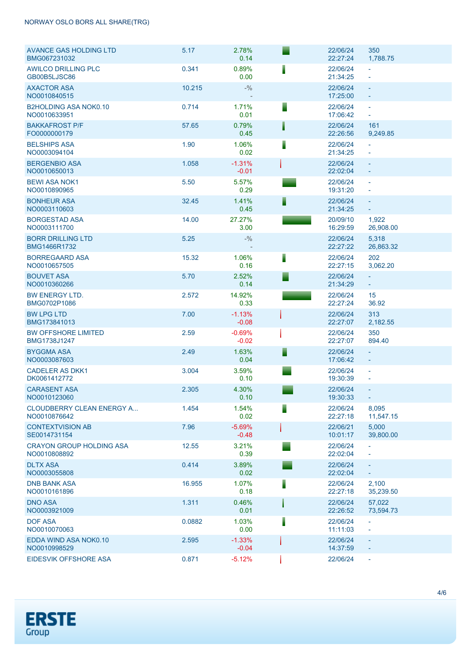### NORWAY OSLO BORS ALL SHARE(TRG)

| <b>AVANCE GAS HOLDING LTD</b><br>BMG067231032   | 5.17   | 2.78%<br>0.14       |   | 22/06/24<br>22:27:24 | 350<br>1,788.75                                      |
|-------------------------------------------------|--------|---------------------|---|----------------------|------------------------------------------------------|
| <b>AWILCO DRILLING PLC</b><br>GB00B5LJSC86      | 0.341  | 0.89%<br>0.00       |   | 22/06/24<br>21:34:25 | $\blacksquare$                                       |
| <b>AXACTOR ASA</b><br>NO0010840515              | 10.215 | $- \frac{0}{0}$     |   | 22/06/24<br>17:25:00 | $\Box$<br>$\overline{\phantom{a}}$                   |
| <b>B2HOLDING ASA NOK0.10</b><br>NO0010633951    | 0.714  | 1.71%<br>0.01       |   | 22/06/24<br>17:06:42 | $\equiv$<br>$\blacksquare$                           |
| <b>BAKKAFROST P/F</b><br>FO0000000179           | 57.65  | 0.79%<br>0.45       |   | 22/06/24<br>22:26:56 | 161<br>9,249.85                                      |
| <b>BELSHIPS ASA</b><br>NO0003094104             | 1.90   | 1.06%<br>0.02       |   | 22/06/24<br>21:34:25 | $\bar{\phantom{a}}$<br>$\equiv$                      |
| <b>BERGENBIO ASA</b><br>NO0010650013            | 1.058  | $-1.31%$<br>$-0.01$ |   | 22/06/24<br>22:02:04 | $\equiv$<br>$\overline{\phantom{a}}$                 |
| <b>BEWI ASA NOK1</b><br>NO0010890965            | 5.50   | 5.57%<br>0.29       |   | 22/06/24<br>19:31:20 | $\overline{\phantom{a}}$<br>$\overline{\phantom{a}}$ |
| <b>BONHEUR ASA</b><br>NO0003110603              | 32.45  | 1.41%<br>0.45       |   | 22/06/24<br>21:34:25 | $\equiv$<br>$\pm$                                    |
| <b>BORGESTAD ASA</b><br>NO0003111700            | 14.00  | 27.27%<br>3.00      |   | 20/09/10<br>16:29:59 | 1,922<br>26,908.00                                   |
| <b>BORR DRILLING LTD</b><br>BMG1466R1732        | 5.25   | $- \frac{0}{0}$     |   | 22/06/24<br>22:27:22 | 5,318<br>26,863.32                                   |
| <b>BORREGAARD ASA</b><br>NO0010657505           | 15.32  | 1.06%<br>0.16       |   | 22/06/24<br>22:27:15 | 202<br>3,062.20                                      |
| <b>BOUVET ASA</b><br>NO0010360266               | 5.70   | 2.52%<br>0.14       |   | 22/06/24<br>21:34:29 | ÷.<br>$\omega_{\rm c}$                               |
| <b>BW ENERGY LTD.</b><br>BMG0702P1086           | 2.572  | 14.92%<br>0.33      |   | 22/06/24<br>22:27:24 | 15<br>36.92                                          |
| <b>BW LPG LTD</b><br>BMG173841013               | 7.00   | $-1.13%$<br>$-0.08$ |   | 22/06/24<br>22:27:07 | 313<br>2,182.55                                      |
| <b>BW OFFSHORE LIMITED</b><br>BMG1738J1247      | 2.59   | $-0.69%$<br>$-0.02$ |   | 22/06/24<br>22:27:07 | 350<br>894.40                                        |
| <b>BYGGMA ASA</b><br>NO0003087603               | 2.49   | 1.63%<br>0.04       | Е | 22/06/24<br>17:06:42 | $\equiv$<br>$\overline{\phantom{a}}$                 |
| <b>CADELER AS DKK1</b><br>DK0061412772          | 3.004  | 3.59%<br>0.10       |   | 22/06/24<br>19:30:39 | $\overline{\phantom{a}}$<br>$\overline{\phantom{a}}$ |
| <b>CARASENT ASA</b><br>NO0010123060             | 2.305  | 4.30%<br>0.10       |   | 22/06/24<br>19:30:33 | $\equiv$<br>$\equiv$                                 |
| CLOUDBERRY CLEAN ENERGY A<br>NO0010876642       | 1.454  | 1.54%<br>0.02       | Е | 22/06/24<br>22:27:18 | 8,095<br>11,547.15                                   |
| <b>CONTEXTVISION AB</b><br>SE0014731154         | 7.96   | $-5.69%$<br>$-0.48$ |   | 22/06/21<br>10:01:17 | 5,000<br>39,800.00                                   |
| <b>CRAYON GROUP HOLDING ASA</b><br>NO0010808892 | 12.55  | 3.21%<br>0.39       |   | 22/06/24<br>22:02:04 | $\overline{\phantom{a}}$                             |
| <b>DLTX ASA</b><br>NO0003055808                 | 0.414  | 3.89%<br>0.02       |   | 22/06/24<br>22:02:04 | ÷                                                    |
| <b>DNB BANK ASA</b><br>NO0010161896             | 16.955 | 1.07%<br>0.18       | I | 22/06/24<br>22:27:18 | 2,100<br>35,239.50                                   |
| <b>DNO ASA</b><br>NO0003921009                  | 1.311  | 0.46%<br>0.01       |   | 22/06/24<br>22:26:52 | 57,022<br>73,594.73                                  |
| <b>DOF ASA</b><br>NO0010070063                  | 0.0882 | 1.03%<br>0.00       |   | 22/06/24<br>11:11:03 | $\overline{\phantom{a}}$                             |
| EDDA WIND ASA NOK0.10<br>NO0010998529           | 2.595  | $-1.33%$<br>$-0.04$ |   | 22/06/24<br>14:37:59 | ÷                                                    |
| EIDESVIK OFFSHORE ASA                           | 0.871  | $-5.12%$            |   | 22/06/24             | $\overline{\phantom{a}}$                             |

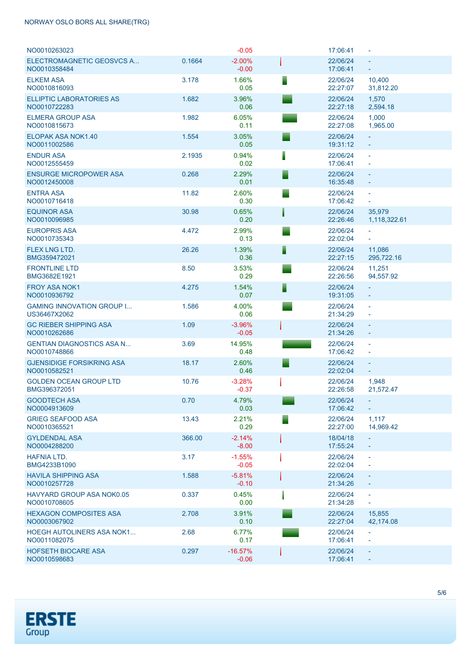### NORWAY OSLO BORS ALL SHARE(TRG)

| NO0010263023                                     |        | $-0.05$              |   | 17:06:41             | $\blacksquare$                        |
|--------------------------------------------------|--------|----------------------|---|----------------------|---------------------------------------|
| ELECTROMAGNETIC GEOSVCS A<br>NO0010358484        | 0.1664 | $-2.00%$<br>$-0.00$  |   | 22/06/24<br>17:06:41 | ÷.<br>$\equiv$                        |
| <b>ELKEM ASA</b><br>NO0010816093                 | 3.178  | 1.66%<br>0.05        | ▋ | 22/06/24<br>22:27:07 | 10,400<br>31,812.20                   |
| <b>ELLIPTIC LABORATORIES AS</b><br>NO0010722283  | 1.682  | 3.96%<br>0.06        |   | 22/06/24<br>22:27:18 | 1,570<br>2,594.18                     |
| <b>ELMERA GROUP ASA</b><br>NO0010815673          | 1.982  | 6.05%<br>0.11        |   | 22/06/24<br>22:27:08 | 1,000<br>1,965.00                     |
| ELOPAK ASA NOK1.40<br>NO0011002586               | 1.554  | 3.05%<br>0.05        |   | 22/06/24<br>19:31:12 | ÷.<br>$\equiv$                        |
| <b>ENDUR ASA</b><br>NO0012555459                 | 2.1935 | 0.94%<br>0.02        |   | 22/06/24<br>17:06:41 | $\bar{\phantom{a}}$<br>$\blacksquare$ |
| <b>ENSURGE MICROPOWER ASA</b><br>NO0012450008    | 0.268  | 2.29%<br>0.01        |   | 22/06/24<br>16:35:48 | $\equiv$<br>$\equiv$                  |
| <b>ENTRA ASA</b><br>NO0010716418                 | 11.82  | 2.60%<br>0.30        |   | 22/06/24<br>17:06:42 | ä,<br>$\equiv$                        |
| <b>EQUINOR ASA</b><br>NO0010096985               | 30.98  | 0.65%<br>0.20        |   | 22/06/24<br>22:26:46 | 35.979<br>1,118,322.61                |
| <b>EUROPRIS ASA</b><br>NO0010735343              | 4.472  | 2.99%<br>0.13        |   | 22/06/24<br>22:02:04 | ÷,<br>$\equiv$                        |
| <b>FLEX LNG LTD.</b><br>BMG359472021             | 26.26  | 1.39%<br>0.36        | ▋ | 22/06/24<br>22:27:15 | 11,086<br>295,722.16                  |
| <b>FRONTLINE LTD</b><br>BMG3682E1921             | 8.50   | 3.53%<br>0.29        |   | 22/06/24<br>22:26:56 | 11,251<br>94,557.92                   |
| <b>FROY ASA NOK1</b><br>NO0010936792             | 4.275  | 1.54%<br>0.07        | ▋ | 22/06/24<br>19:31:05 | $\equiv$                              |
| <b>GAMING INNOVATION GROUP I</b><br>US36467X2062 | 1.586  | 4.00%<br>0.06        |   | 22/06/24<br>21:34:29 | ä,<br>÷,                              |
| <b>GC RIEBER SHIPPING ASA</b><br>NO0010262686    | 1.09   | $-3.96%$<br>$-0.05$  |   | 22/06/24<br>21:34:26 | $\equiv$<br>$\equiv$                  |
| <b>GENTIAN DIAGNOSTICS ASA N</b><br>NO0010748866 | 3.69   | 14.95%<br>0.48       |   | 22/06/24<br>17:06:42 | ä,<br>$\blacksquare$                  |
| <b>GJENSIDIGE FORSIKRING ASA</b><br>NO0010582521 | 18.17  | 2.60%<br>0.46        |   | 22/06/24<br>22:02:04 | ÷,<br>$\equiv$                        |
| <b>GOLDEN OCEAN GROUP LTD</b><br>BMG396372051    | 10.76  | $-3.28%$<br>$-0.37$  |   | 22/06/24<br>22:26:58 | 1,948<br>21,572.47                    |
| <b>GOODTECH ASA</b><br>NO0004913609              | 0.70   | 4.79%<br>0.03        |   | 22/06/24<br>17:06:42 |                                       |
| <b>GRIEG SEAFOOD ASA</b><br>NO0010365521         | 13.43  | 2.21%<br>0.29        |   | 22/06/24<br>22:27:00 | 1,117<br>14,969.42                    |
| <b>GYLDENDAL ASA</b><br>NO0004288200             | 366.00 | $-2.14%$<br>$-8.00$  |   | 18/04/18<br>17:55:24 | ÷.                                    |
| <b>HAFNIA LTD.</b><br>BMG4233B1090               | 3.17   | $-1.55%$<br>$-0.05$  |   | 22/06/24<br>22:02:04 | $\bar{\phantom{a}}$<br>$\blacksquare$ |
| <b>HAVILA SHIPPING ASA</b><br>NO0010257728       | 1.588  | $-5.81%$<br>$-0.10$  |   | 22/06/24<br>21:34:26 | $\equiv$                              |
| <b>HAVYARD GROUP ASA NOK0.05</b><br>NO0010708605 | 0.337  | 0.45%<br>0.00        |   | 22/06/24<br>21:34:28 | $\overline{\phantom{a}}$<br>÷         |
| <b>HEXAGON COMPOSITES ASA</b><br>NO0003067902    | 2.708  | 3.91%<br>0.10        |   | 22/06/24<br>22:27:04 | 15,855<br>42,174.08                   |
| <b>HOEGH AUTOLINERS ASA NOK1</b><br>NO0011082075 | 2.68   | 6.77%<br>0.17        |   | 22/06/24<br>17:06:41 | ÷<br>÷,                               |
| HOFSETH BIOCARE ASA<br>NO0010598683              | 0.297  | $-16.57%$<br>$-0.06$ |   | 22/06/24<br>17:06:41 | $\equiv$                              |